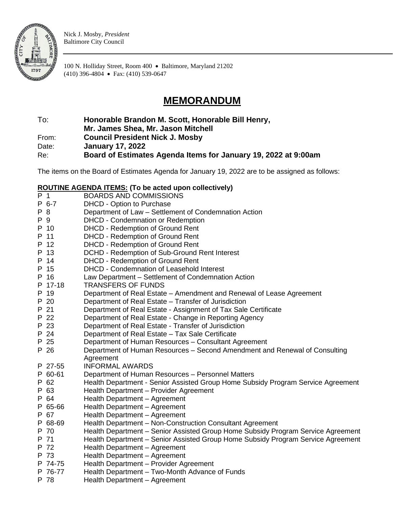

Nick J. Mosby, *President* Baltimore City Council

100 N. Holliday Street, Room 400 • Baltimore, Maryland 21202 (410) 396-4804 • Fax: (410) 539-0647

## **MEMORANDUM**

To: **Honorable Brandon M. Scott, Honorable Bill Henry,** 

**Mr. James Shea, Mr. Jason Mitchell**

From: **Council President Nick J. Mosby**

Date: **January 17, 2022**

Re: **Board of Estimates Agenda Items for January 19, 2022 at 9:00am**

The items on the Board of Estimates Agenda for January 19, 2022 are to be assigned as follows:

## **ROUTINE AGENDA ITEMS: (To be acted upon collectively)**

|     | <u></u> | <u></u> \. c ~ ~ c ~ c ~ c                                                       |
|-----|---------|----------------------------------------------------------------------------------|
| P 1 |         | <b>BOARDS AND COMMISSIONS</b>                                                    |
|     | P 6-7   | DHCD - Option to Purchase                                                        |
| P 8 |         | Department of Law - Settlement of Condemnation Action                            |
| P 9 |         | DHCD - Condemnation or Redemption                                                |
|     | P 10    | <b>DHCD - Redemption of Ground Rent</b>                                          |
|     | P 11    | <b>DHCD - Redemption of Ground Rent</b>                                          |
|     | P 12    | <b>DHCD - Redemption of Ground Rent</b>                                          |
|     | P 13    | DCHD - Redemption of Sub-Ground Rent Interest                                    |
|     | P 14    | <b>DHCD - Redemption of Ground Rent</b>                                          |
|     | P 15    | DHCD - Condemnation of Leasehold Interest                                        |
|     | P 16    | Law Department - Settlement of Condemnation Action                               |
|     | P 17-18 | <b>TRANSFERS OF FUNDS</b>                                                        |
|     | P 19    | Department of Real Estate - Amendment and Renewal of Lease Agreement             |
|     | P 20    | Department of Real Estate - Transfer of Jurisdiction                             |
|     | P 21    | Department of Real Estate - Assignment of Tax Sale Certificate                   |
|     | P 22    | Department of Real Estate - Change in Reporting Agency                           |
|     | P 23    | Department of Real Estate - Transfer of Jurisdiction                             |
|     | P 24    | Department of Real Estate - Tax Sale Certificate                                 |
|     | P 25    | Department of Human Resources - Consultant Agreement                             |
|     | P 26    | Department of Human Resources - Second Amendment and Renewal of Consulting       |
|     |         | Agreement                                                                        |
|     | P 27-55 | <b>INFORMAL AWARDS</b>                                                           |
|     | P 60-61 | Department of Human Resources - Personnel Matters                                |
|     | P 62    | Health Department - Senior Assisted Group Home Subsidy Program Service Agreement |
|     | P 63    | Health Department - Provider Agreement                                           |
|     | P 64    | Health Department - Agreement                                                    |
|     | P 65-66 | Health Department - Agreement                                                    |
|     | P 67    | Health Department - Agreement                                                    |
|     | P 68-69 | Health Department - Non-Construction Consultant Agreement                        |
|     | P 70    | Health Department - Senior Assisted Group Home Subsidy Program Service Agreement |
|     | P 71    | Health Department - Senior Assisted Group Home Subsidy Program Service Agreement |
|     | P 72    | Health Department - Agreement                                                    |
|     | P 73    | Health Department - Agreement                                                    |
|     | P 74-75 | Health Department - Provider Agreement                                           |
|     | P 76-77 | Health Department - Two-Month Advance of Funds                                   |
|     | P 78    | Health Department - Agreement                                                    |
|     |         |                                                                                  |